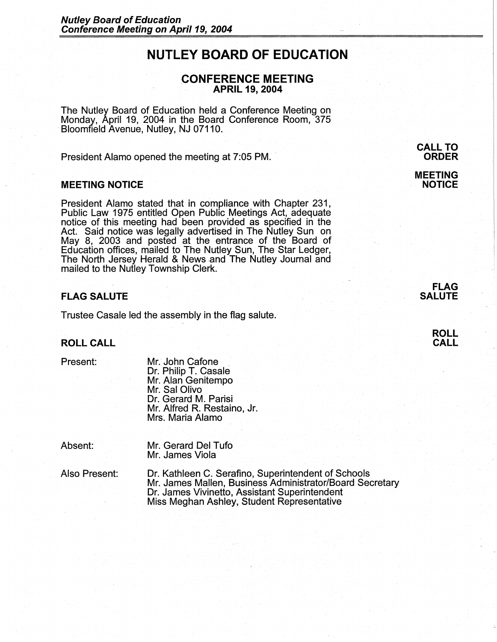# **NUTLEY BOARD OF EDUCATION**

# **CONFERENCE MEETING APRIL 19, 2004**

The Nutley Board of Education held a Conference Meeting on Monday, April 19, 2004 in the Board Conference Room, 375 Bloomfield Avenue, Nutley, NJ 07110.

President Alamo opened the meeting at 7:05 PM.

## **MEETING NOTICE**

President Alamo stated that in compliance with Chapter 231, Public Law 1975 entitled Open Public Meetings Act, adequate notice of this meeting had been provided as specified in the Act. Said notice was legally advertised in The Nutley Sun on May 8, 2003 and posted at the entrance of the Board of Education offices, mailed to The Nutley Sun, The Star Ledger, The North Jersey Herald & News and The Nutley Journal and mailed to the Nutley Township Clerk.

## **FLAG SALUTE**

Trustee Casale led the assembly in the flag salute.

## **ROLL CALL**

Present:

Mr. John Catone Dr. Philip T. Casale Mr. Alan Genitempo Mr. Sal Olivo Dr. Gerard M. Parisi Mr. Alfred R. Restaino, Jr. Mrs. Maria Alamo

Absent:

Mr. Gerard Del Tufo Mr. James Viola

Also Present: Dr. Kathleen C. Serafino, Superintendent of Schools Mr. James Mallen, Business Administrator/Board Secretary Dr. James Vivinetto, Assistant Superintendent Miss Meghan Ashley, Student Representative

**CALL TO ORDER** 

**MEETING NOTICE**